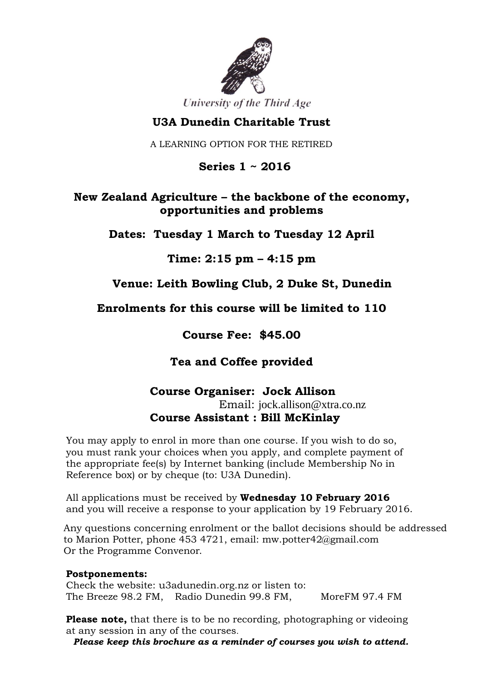

University of the Third Age

# **U3A Dunedin Charitable Trust**

A LEARNING OPTION FOR THE RETIRED

 **Series 1 ~ 2016**

# **New Zealand Agriculture – the backbone of the economy, opportunities and problems**

**Dates: Tuesday 1 March to Tuesday 12 April**

**Time: 2:15 pm – 4:15 pm**

**Venue: Leith Bowling Club, 2 Duke St, Dunedin**

**Enrolments for this course will be limited to 110**

**Course Fee: \$45.00**

**Tea and Coffee provided**

### **Course Organiser: Jock Allison**

Email: jock.allison@xtra.co.nz **Course Assistant : Bill McKinlay**

You may apply to enrol in more than one course. If you wish to do so, you must rank your choices when you apply, and complete payment of the appropriate fee(s) by Internet banking (include Membership No in Reference box) or by cheque (to: U3A Dunedin).

All applications must be received by **Wednesday 10 February 2016** and you will receive a response to your application by 19 February 2016.

Any questions concerning enrolment or the ballot decisions should be addressed to Marion Potter, phone 453 4721, email: mw.potter42@gmail.com Or the Programme Convenor.

#### **Postponements:**

Check the website: u3adunedin.org.nz or listen to: The Breeze 98.2 FM, Radio Dunedin 99.8 FM, MoreFM 97.4 FM

**Please note,** that there is to be no recording, photographing or videoing at any session in any of the courses.

*Please keep this brochure as a reminder of courses you wish to attend.*